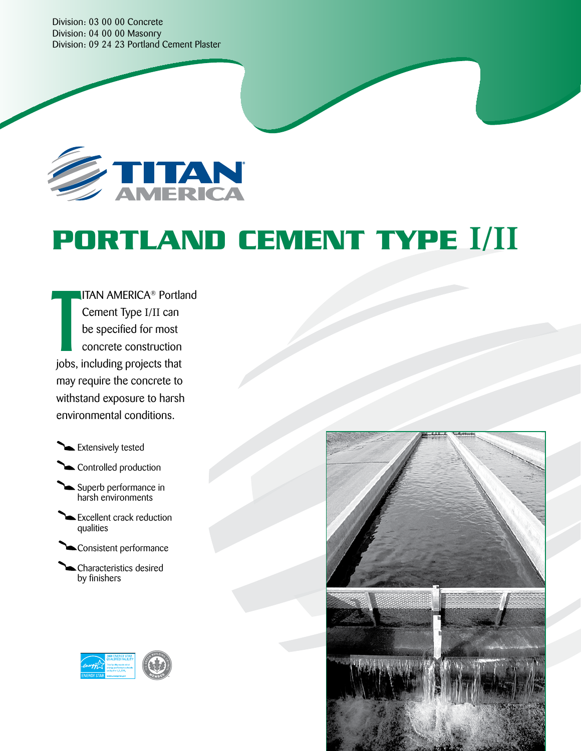Division: 03 00 00 Concrete Division: 04 00 00 Masonry Division: 09 24 23 Portland Cement Plaster



# **PORTLAND CEMENT TYPE I/II**

ITAN AMERICA® Portland Cement Type I/II can be specified for most concrete construction jobs, including projects that may require the concrete to withstand exposure to harsh environmental conditions. T

**Extensively tested** 

Controlled production

Superb performance in harsh environments

Excellent crack reduction qualities

Consistent performance

Characteristics desired by finishers